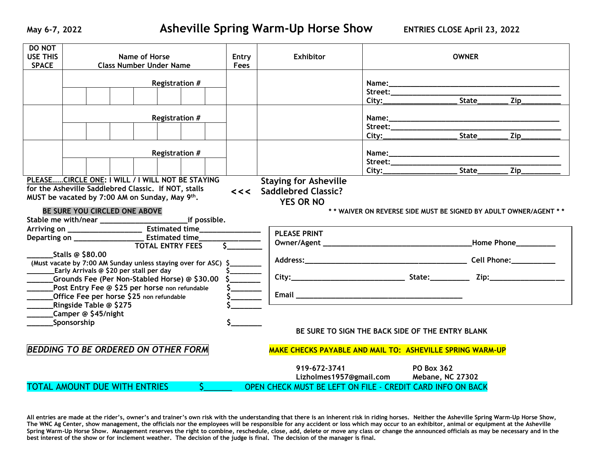| <b>DO NOT</b>                                                                             |                                                      |  |                                |    |               |                                                            |  |                   |  |                                                                  |  |
|-------------------------------------------------------------------------------------------|------------------------------------------------------|--|--------------------------------|----|---------------|------------------------------------------------------------|--|-------------------|--|------------------------------------------------------------------|--|
| <b>USE THIS</b>                                                                           | <b>Name of Horse</b>                                 |  |                                |    | Entry         | <b>Exhibitor</b>                                           |  | <b>OWNER</b>      |  |                                                                  |  |
| <b>SPACE</b>                                                                              |                                                      |  | <b>Class Number Under Name</b> |    | Fees          |                                                            |  |                   |  |                                                                  |  |
|                                                                                           |                                                      |  |                                |    |               |                                                            |  |                   |  |                                                                  |  |
|                                                                                           | Registration #                                       |  |                                |    |               |                                                            |  |                   |  |                                                                  |  |
|                                                                                           |                                                      |  |                                |    |               |                                                            |  |                   |  |                                                                  |  |
|                                                                                           |                                                      |  |                                |    |               |                                                            |  |                   |  | Zip                                                              |  |
|                                                                                           |                                                      |  |                                |    |               |                                                            |  |                   |  |                                                                  |  |
|                                                                                           | Registration #                                       |  |                                |    |               |                                                            |  |                   |  |                                                                  |  |
|                                                                                           |                                                      |  |                                |    |               |                                                            |  |                   |  |                                                                  |  |
|                                                                                           |                                                      |  |                                |    |               |                                                            |  |                   |  |                                                                  |  |
|                                                                                           |                                                      |  |                                |    |               |                                                            |  |                   |  |                                                                  |  |
|                                                                                           | Registration #                                       |  |                                |    |               |                                                            |  |                   |  |                                                                  |  |
|                                                                                           |                                                      |  |                                |    |               |                                                            |  |                   |  |                                                                  |  |
|                                                                                           |                                                      |  |                                |    |               |                                                            |  |                   |  |                                                                  |  |
|                                                                                           | PLEASECIRCLE ONE: I WILL / I WILL NOT BE STAYING     |  |                                |    |               | <b>Staying for Asheville</b>                               |  |                   |  |                                                                  |  |
|                                                                                           | for the Asheville Saddlebred Classic. If NOT, stalls |  |                                |    |               | <<< Saddlebred Classic?                                    |  |                   |  |                                                                  |  |
|                                                                                           | MUST be vacated by 7:00 AM on Sunday, May 9th.       |  |                                |    |               |                                                            |  |                   |  |                                                                  |  |
|                                                                                           |                                                      |  |                                |    |               | <b>YES OR NO</b>                                           |  |                   |  |                                                                  |  |
|                                                                                           | BE SURE YOU CIRCLED ONE ABOVE                        |  |                                |    |               |                                                            |  |                   |  | ** WAIVER ON REVERSE SIDE MUST BE SIGNED BY ADULT OWNER/AGENT ** |  |
|                                                                                           |                                                      |  |                                |    |               |                                                            |  |                   |  |                                                                  |  |
|                                                                                           |                                                      |  |                                |    |               | <b>PLEASE PRINT</b>                                        |  |                   |  |                                                                  |  |
|                                                                                           |                                                      |  |                                |    |               |                                                            |  |                   |  |                                                                  |  |
|                                                                                           |                                                      |  | <b>TOTAL ENTRY FEES</b>        |    |               |                                                            |  |                   |  |                                                                  |  |
| <b>Stalls @ \$80.00</b><br>(Must vacate by 7:00 AM Sunday unless staying over for ASC) \$ |                                                      |  |                                |    |               |                                                            |  |                   |  |                                                                  |  |
|                                                                                           |                                                      |  |                                |    |               |                                                            |  |                   |  |                                                                  |  |
|                                                                                           | Early Arrivals @ \$20 per stall per day              |  |                                |    | $\frac{5}{5}$ |                                                            |  |                   |  |                                                                  |  |
|                                                                                           | _Grounds Fee (Per Non-Stabled Horse) @ \$30.00       |  |                                |    |               |                                                            |  |                   |  |                                                                  |  |
|                                                                                           | Post Entry Fee @ \$25 per horse non refundable       |  |                                |    |               |                                                            |  |                   |  |                                                                  |  |
| Office Fee per horse \$25 non refundable                                                  |                                                      |  |                                |    |               |                                                            |  |                   |  |                                                                  |  |
|                                                                                           | Ringside Table @ \$275                               |  |                                |    |               |                                                            |  |                   |  |                                                                  |  |
|                                                                                           | Camper @ \$45/night                                  |  |                                |    |               |                                                            |  |                   |  |                                                                  |  |
|                                                                                           | Sponsorship                                          |  |                                |    |               |                                                            |  |                   |  |                                                                  |  |
|                                                                                           |                                                      |  |                                |    |               | BE SURE TO SIGN THE BACK SIDE OF THE ENTRY BLANK           |  |                   |  |                                                                  |  |
|                                                                                           |                                                      |  |                                |    |               |                                                            |  |                   |  |                                                                  |  |
| <b>BEDDING TO BE ORDERED ON OTHER FORM</b>                                                |                                                      |  |                                |    |               | MAKE CHECKS PAYABLE AND MAIL TO: ASHEVILLE SPRING WARM-UP  |  |                   |  |                                                                  |  |
|                                                                                           |                                                      |  |                                |    |               |                                                            |  |                   |  |                                                                  |  |
|                                                                                           |                                                      |  |                                |    |               | 919-672-3741                                               |  | <b>PO Box 362</b> |  |                                                                  |  |
|                                                                                           |                                                      |  |                                |    |               | Lizholmes1957@gmail.com Mebane, NC 27302                   |  |                   |  |                                                                  |  |
|                                                                                           | <b>TOTAL AMOUNT DUE WITH ENTRIES</b>                 |  |                                | S. |               | OPEN CHECK MUST BE LEFT ON FILE - CREDIT CARD INFO ON BACK |  |                   |  |                                                                  |  |
|                                                                                           |                                                      |  |                                |    |               |                                                            |  |                   |  |                                                                  |  |

**All entries are made at the rider's, owner's and trainer's own risk with the understanding that there is an inherent risk in riding horses. Neither the Asheville Spring Warm-Up Horse Show, The WNC Ag Center, show management, the officials nor the employees will be responsible for any accident or loss which may occur to an exhibitor, animal or equipment at the Asheville Spring Warm-Up Horse Show. Management reserves the right to combine, reschedule, close, add, delete or move any class or change the announced officials as may be necessary and in the best interest of the show or for inclement weather. The decision of the judge is final. The decision of the manager is final.**